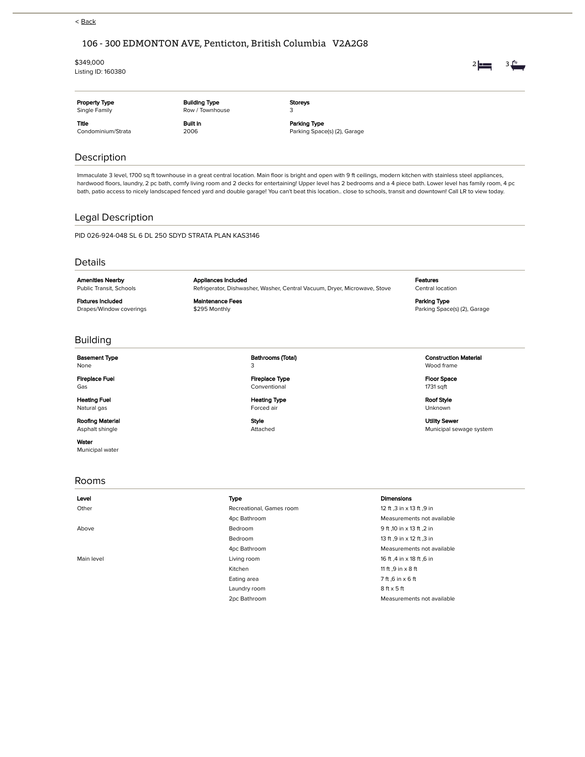## < Back

# 106 - 300 EDMONTON AVE, Penticton, British Columbia V2A2G8

Maintenance Fees \$295 Monthly

#### \$349,000

Listing ID: 160380

| <b>Property Type</b><br>Single Family | <b>Building Type</b><br>Row / Townhouse | <b>Storeys</b>                               |
|---------------------------------------|-----------------------------------------|----------------------------------------------|
| <b>Title</b><br>Condominium/Strata    | <b>Built in</b><br>2006                 | Parking Type<br>Parking Space(s) (2), Garage |
|                                       |                                         |                                              |

# Description

Immaculate 3 level, 1700 sq ft townhouse in a great central location. Main floor is bright and open with 9 ft ceilings, modern kitchen with stainless steel appliances, hardwood floors, laundry, 2 pc bath, comfy living room and 2 decks for entertaining! Upper level has 2 bedrooms and a 4 piece bath. Lower level has family room, 4 pc bath, patio access to nicely landscaped fenced yard and double garage! You can't beat this location.. close to schools, transit and downtown! Call LR to view today.

## Legal Description

PID 026-924-048 SL 6 DL 250 SDYD STRATA PLAN KAS3146

### Details

Amenities Nearby Public Transit, Schools

Fixtures Included

Drapes/Window coverings

Appliances Included Refrigerator, Dishwasher, Washer, Central Vacuum, Dryer, Microwave, Stove Features Central location

Parking Type Parking Space(s) (2), Garage

## Building

Basement Type

None

Fireplace Fuel Gas

Heating Fuel Natural gas

Roofing Material Asphalt shingle

Water

Municipal water

### Rooms

### Bathrooms (Total) 3 Fireplace Type

Conventional Heating Type

Forced air

Style Attached

### Construction Material Wood frame

Floor Space 1731 sqft

Roof Style Unknown

Utility Sewer Municipal sewage system

### Level Type Dimensions

Other Christian Recreational, Games room 12 ft .3 in x 13 ft .9 in 4pc Bathroom Measurements not available Above **Bedroom** Bedroom **Bedroom Bedroom** 9 ft ,10 in x 13 ft ,2 in Bedroom 13 ft ,9 in x 12 ft ,3 in 4pc Bathroom Measurements not available Main level **Main level Contract Contract Contract Contract Contract Contract Contract Contract Contract Contract Contract Contract Contract Contract Contract Contract Contract Contract Contract Contract Contract Contract** Kitchen 11 ft ,9 in x 8 ft Eating area  $\overline{7}$  ft ,6 in x 6 ft Laundry room 8 ft x 5 ft 2pc Bathroom Measurements not available

2  $\frac{1}{2}$  3